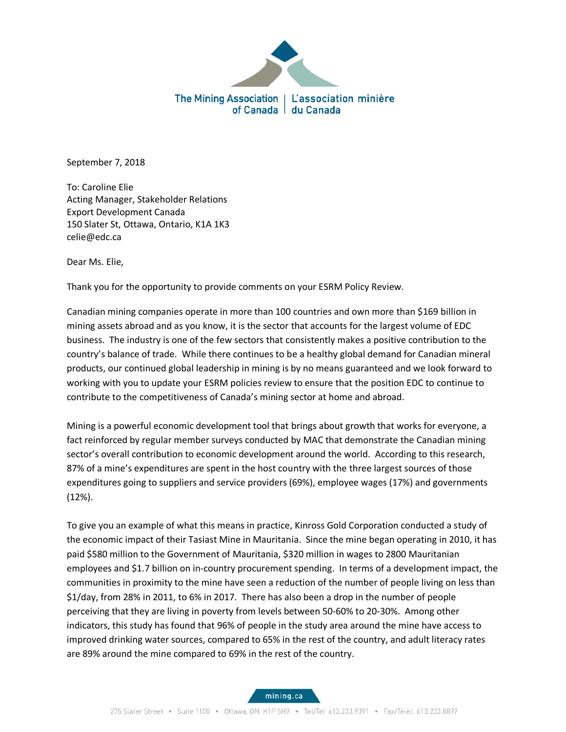

September 7, 2018

To: Caroline Elie Acting Manager, Stakeholder Relations Export Development Canada 150 Slater St, Ottawa, Ontario, K1A 1K3 celie@edc.ca

Dear Ms. Elie,

Thank you for the opportunity to provide comments on your ESRM Policy Review.

Canadian mining companies operate in more than 100 countries and own more than \$169 billion in mining assets abroad and as you know, it is the sector that accounts for the largest volume of EDC business. The industry is one of the few sectors that consistently makes a positive contribution to the country's balance of trade. While there continues to be a healthy global demand for Canadian mineral products, our continued global leadership in mining is by no means guaranteed and we look forward to working with you to update your ESRM policies review to ensure that the position EDC to continue to contribute to the competitiveness of Canada's mining sector at home and abroad.

Mining is a powerful economic development tool that brings about growth that works for everyone, a fact reinforced by regular member surveys conducted by MAC that demonstrate the Canadian mining sector's overall contribution to economic development around the world. According to this research, 87% of a mine's expenditures are spent in the host country with the three largest sources of those expenditures going to suppliers and service providers (69%), employee wages (17%) and governments (12%).

To give you an example of what this means in practice, Kinross Gold Corporation conducted a study of the economic impact of their Tasiast Mine in Mauritania. Since the mine began operating in 2010, it has paid \$580 million to the Government of Mauritania, \$320 million in wages to 2800 Mauritanian employees and \$1.7 billion on in-country procurement spending. In terms of a development impact, the communities in proximity to the mine have seen a reduction of the number of people living on less than \$1/day, from 28% in 2011, to 6% in 2017. There has also been a drop in the number of people perceiving that they are living in poverty from levels between 50-60% to 20-30%. Among other indicators, this study has found that 96% of people in the study area around the mine have access to improved drinking water sources, compared to 65% in the rest of the country, and adult literacy rates are 89% around the mine compared to 69% in the rest of the country.

mining.ca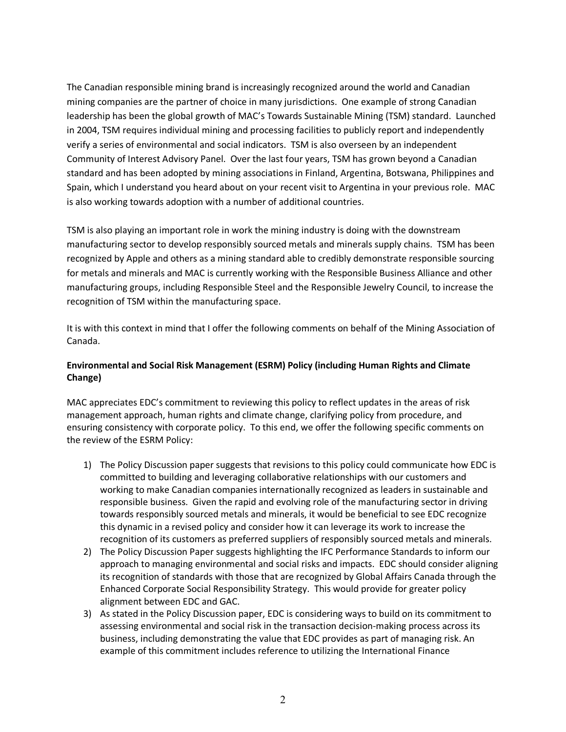The Canadian responsible mining brand is increasingly recognized around the world and Canadian mining companies are the partner of choice in many jurisdictions. One example of strong Canadian leadership has been the global growth of MAC's Towards Sustainable Mining (TSM) standard. Launched in 2004, TSM requires individual mining and processing facilities to publicly report and independently verify a series of environmental and social indicators. TSM is also overseen by an independent Community of Interest Advisory Panel. Over the last four years, TSM has grown beyond a Canadian standard and has been adopted by mining associations in Finland, Argentina, Botswana, Philippines and Spain, which I understand you heard about on your recent visit to Argentina in your previous role. MAC is also working towards adoption with a number of additional countries.

TSM is also playing an important role in work the mining industry is doing with the downstream manufacturing sector to develop responsibly sourced metals and minerals supply chains. TSM has been recognized by Apple and others as a mining standard able to credibly demonstrate responsible sourcing for metals and minerals and MAC is currently working with the Responsible Business Alliance and other manufacturing groups, including Responsible Steel and the Responsible Jewelry Council, to increase the recognition of TSM within the manufacturing space.

It is with this context in mind that I offer the following comments on behalf of the Mining Association of Canada.

## **Environmental and Social Risk Management (ESRM) Policy (including Human Rights and Climate Change)**

MAC appreciates EDC's commitment to reviewing this policy to reflect updates in the areas of risk management approach, human rights and climate change, clarifying policy from procedure, and ensuring consistency with corporate policy. To this end, we offer the following specific comments on the review of the ESRM Policy:

- 1) The Policy Discussion paper suggests that revisions to this policy could communicate how EDC is committed to building and leveraging collaborative relationships with our customers and working to make Canadian companies internationally recognized as leaders in sustainable and responsible business. Given the rapid and evolving role of the manufacturing sector in driving towards responsibly sourced metals and minerals, it would be beneficial to see EDC recognize this dynamic in a revised policy and consider how it can leverage its work to increase the recognition of its customers as preferred suppliers of responsibly sourced metals and minerals.
- 2) The Policy Discussion Paper suggests highlighting the IFC Performance Standards to inform our approach to managing environmental and social risks and impacts. EDC should consider aligning its recognition of standards with those that are recognized by Global Affairs Canada through the Enhanced Corporate Social Responsibility Strategy. This would provide for greater policy alignment between EDC and GAC.
- 3) As stated in the Policy Discussion paper, EDC is considering ways to build on its commitment to assessing environmental and social risk in the transaction decision-making process across its business, including demonstrating the value that EDC provides as part of managing risk. An example of this commitment includes reference to utilizing the International Finance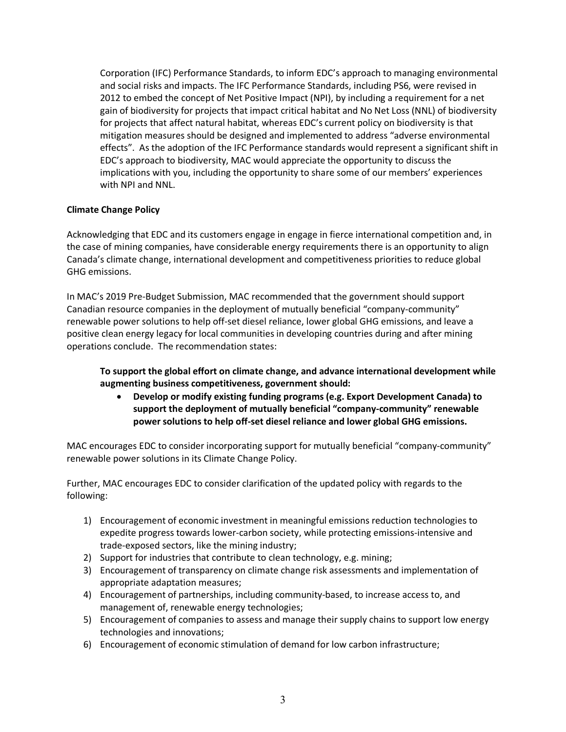Corporation (IFC) Performance Standards, to inform EDC's approach to managing environmental and social risks and impacts. The IFC Performance Standards, including PS6, were revised in 2012 to embed the concept of Net Positive Impact (NPI), by including a requirement for a net gain of biodiversity for projects that impact critical habitat and No Net Loss (NNL) of biodiversity for projects that affect natural habitat, whereas EDC's current policy on biodiversity is that mitigation measures should be designed and implemented to address "adverse environmental effects". As the adoption of the IFC Performance standards would represent a significant shift in EDC's approach to biodiversity, MAC would appreciate the opportunity to discuss the implications with you, including the opportunity to share some of our members' experiences with NPI and NNL.

## **Climate Change Policy**

Acknowledging that EDC and its customers engage in engage in fierce international competition and, in the case of mining companies, have considerable energy requirements there is an opportunity to align Canada's climate change, international development and competitiveness priorities to reduce global GHG emissions.

In MAC's 2019 Pre-Budget Submission, MAC recommended that the government should support Canadian resource companies in the deployment of mutually beneficial "company-community" renewable power solutions to help off-set diesel reliance, lower global GHG emissions, and leave a positive clean energy legacy for local communities in developing countries during and after mining operations conclude. The recommendation states:

# **To support the global effort on climate change, and advance international development while augmenting business competitiveness, government should:**

• **Develop or modify existing funding programs (e.g. Export Development Canada) to support the deployment of mutually beneficial "company-community" renewable power solutions to help off-set diesel reliance and lower global GHG emissions.**

MAC encourages EDC to consider incorporating support for mutually beneficial "company-community" renewable power solutions in its Climate Change Policy.

Further, MAC encourages EDC to consider clarification of the updated policy with regards to the following:

- 1) Encouragement of economic investment in meaningful emissions reduction technologies to expedite progress towards lower-carbon society, while protecting emissions-intensive and trade-exposed sectors, like the mining industry;
- 2) Support for industries that contribute to clean technology, e.g. mining;
- 3) Encouragement of transparency on climate change risk assessments and implementation of appropriate adaptation measures;
- 4) Encouragement of partnerships, including community-based, to increase access to, and management of, renewable energy technologies;
- 5) Encouragement of companies to assess and manage their supply chains to support low energy technologies and innovations;
- 6) Encouragement of economic stimulation of demand for low carbon infrastructure;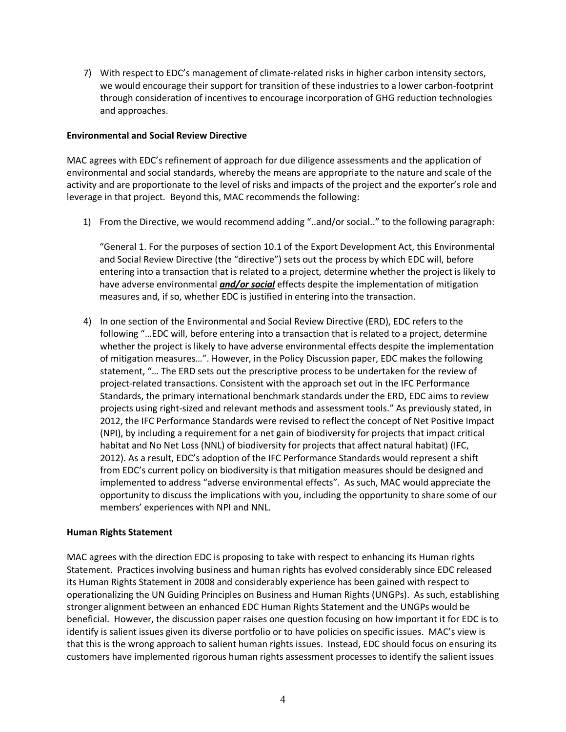7) With respect to EDC's management of climate-related risks in higher carbon intensity sectors, we would encourage their support for transition of these industries to a lower carbon-footprint through consideration of incentives to encourage incorporation of GHG reduction technologies and approaches.

#### **Environmental and Social Review Directive**

MAC agrees with EDC's refinement of approach for due diligence assessments and the application of environmental and social standards, whereby the means are appropriate to the nature and scale of the activity and are proportionate to the level of risks and impacts of the project and the exporter's role and leverage in that project. Beyond this, MAC recommends the following:

1) From the Directive, we would recommend adding "..and/or social.." to the following paragraph:

"General 1. For the purposes of section 10.1 of the Export Development Act, this Environmental and Social Review Directive (the "directive") sets out the process by which EDC will, before entering into a transaction that is related to a project, determine whether the project is likely to have adverse environmental *and/or social* effects despite the implementation of mitigation measures and, if so, whether EDC is justified in entering into the transaction.

4) In one section of the Environmental and Social Review Directive (ERD), EDC refers to the following "…EDC will, before entering into a transaction that is related to a project, determine whether the project is likely to have adverse environmental effects despite the implementation of mitigation measures…". However, in the Policy Discussion paper, EDC makes the following statement, "… The ERD sets out the prescriptive process to be undertaken for the review of project-related transactions. Consistent with the approach set out in the IFC Performance Standards, the primary international benchmark standards under the ERD, EDC aims to review projects using right-sized and relevant methods and assessment tools." As previously stated, in 2012, the IFC Performance Standards were revised to reflect the concept of Net Positive Impact (NPI), by including a requirement for a net gain of biodiversity for projects that impact critical habitat and No Net Loss (NNL) of biodiversity for projects that affect natural habitat) (IFC, 2012). As a result, EDC's adoption of the IFC Performance Standards would represent a shift from EDC's current policy on biodiversity is that mitigation measures should be designed and implemented to address "adverse environmental effects". As such, MAC would appreciate the opportunity to discuss the implications with you, including the opportunity to share some of our members' experiences with NPI and NNL.

### **Human Rights Statement**

MAC agrees with the direction EDC is proposing to take with respect to enhancing its Human rights Statement. Practices involving business and human rights has evolved considerably since EDC released its Human Rights Statement in 2008 and considerably experience has been gained with respect to operationalizing the UN Guiding Principles on Business and Human Rights (UNGPs). As such, establishing stronger alignment between an enhanced EDC Human Rights Statement and the UNGPs would be beneficial. However, the discussion paper raises one question focusing on how important it for EDC is to identify is salient issues given its diverse portfolio or to have policies on specific issues. MAC's view is that this is the wrong approach to salient human rights issues. Instead, EDC should focus on ensuring its customers have implemented rigorous human rights assessment processes to identify the salient issues